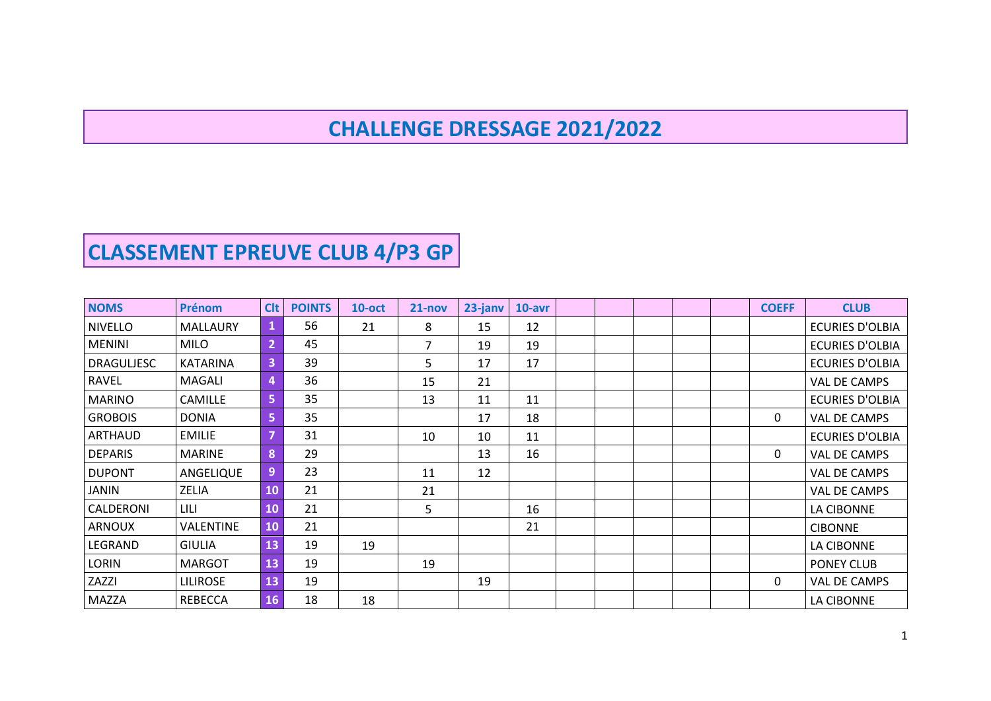## **CHALLENGE DRESSAGE 2021/2022**

## **CLASSEMENT EPREUVE CLUB 4/P3 GP**

| <b>NOMS</b>       | <b>Prénom</b>    | <b>Clt</b>     | <b>POINTS</b> | $10$ -oct | $21 - nov$ | 23-janv | $10$ -avr |  |  | <b>COEFF</b> | <b>CLUB</b>            |
|-------------------|------------------|----------------|---------------|-----------|------------|---------|-----------|--|--|--------------|------------------------|
| <b>NIVELLO</b>    | MALLAURY         | 1              | 56            | 21        | 8          | 15      | 12        |  |  |              | <b>ECURIES D'OLBIA</b> |
| <b>MENINI</b>     | <b>MILO</b>      | $\overline{2}$ | 45            |           | 7          | 19      | 19        |  |  |              | <b>ECURIES D'OLBIA</b> |
| <b>DRAGULJESC</b> | <b>KATARINA</b>  | 3              | 39            |           | 5          | 17      | 17        |  |  |              | <b>ECURIES D'OLBIA</b> |
| <b>RAVEL</b>      | <b>MAGALI</b>    | 4              | 36            |           | 15         | 21      |           |  |  |              | VAL DE CAMPS           |
| <b>MARINO</b>     | <b>CAMILLE</b>   | 5              | 35            |           | 13         | 11      | 11        |  |  |              | <b>ECURIES D'OLBIA</b> |
| <b>GROBOIS</b>    | <b>DONIA</b>     | 5              | 35            |           |            | 17      | 18        |  |  | 0            | VAL DE CAMPS           |
| ARTHAUD           | <b>EMILIE</b>    | 7              | 31            |           | 10         | 10      | 11        |  |  |              | <b>ECURIES D'OLBIA</b> |
| <b>DEPARIS</b>    | <b>MARINE</b>    | 8              | 29            |           |            | 13      | 16        |  |  | 0            | VAL DE CAMPS           |
| <b>DUPONT</b>     | ANGELIQUE        | 9              | 23            |           | 11         | 12      |           |  |  |              | VAL DE CAMPS           |
| <b>JANIN</b>      | ZELIA            | 10             | 21            |           | 21         |         |           |  |  |              | <b>VAL DE CAMPS</b>    |
| CALDERONI         | LILI             | 10             | 21            |           | 5          |         | 16        |  |  |              | LA CIBONNE             |
| <b>ARNOUX</b>     | <b>VALENTINE</b> | 10             | 21            |           |            |         | 21        |  |  |              | <b>CIBONNE</b>         |
| LEGRAND           | <b>GIULIA</b>    | 13             | 19            | 19        |            |         |           |  |  |              | LA CIBONNE             |
| <b>LORIN</b>      | <b>MARGOT</b>    | 13             | 19            |           | 19         |         |           |  |  |              | PONEY CLUB             |
| ZAZZI             | <b>LILIROSE</b>  | 13             | 19            |           |            | 19      |           |  |  | 0            | VAL DE CAMPS           |
| <b>MAZZA</b>      | <b>REBECCA</b>   | 16             | 18            | 18        |            |         |           |  |  |              | LA CIBONNE             |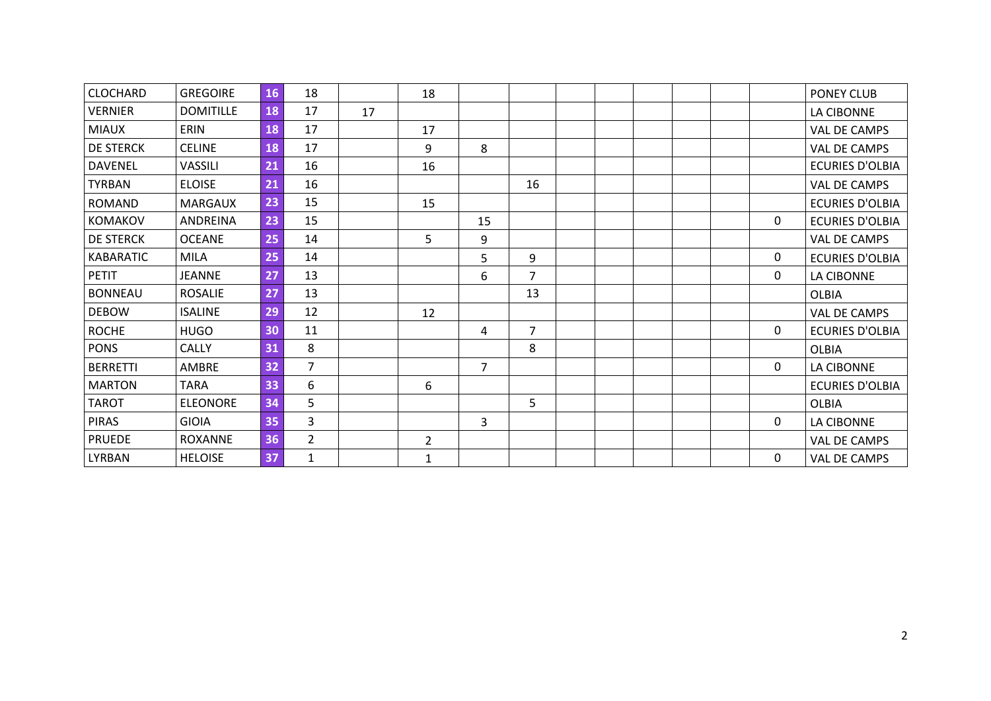| <b>CLOCHARD</b>  | <b>GREGOIRE</b>  | 16 | 18             |    | 18             |                |                |  |  |   | PONEY CLUB             |
|------------------|------------------|----|----------------|----|----------------|----------------|----------------|--|--|---|------------------------|
| <b>VERNIER</b>   | <b>DOMITILLE</b> | 18 | 17             | 17 |                |                |                |  |  |   | LA CIBONNE             |
| <b>MIAUX</b>     | ERIN             | 18 | 17             |    | 17             |                |                |  |  |   | VAL DE CAMPS           |
| <b>DE STERCK</b> | <b>CELINE</b>    | 18 | 17             |    | 9              | 8              |                |  |  |   | VAL DE CAMPS           |
| <b>DAVENEL</b>   | VASSILI          | 21 | 16             |    | 16             |                |                |  |  |   | <b>ECURIES D'OLBIA</b> |
| <b>TYRBAN</b>    | <b>ELOISE</b>    | 21 | 16             |    |                |                | 16             |  |  |   | VAL DE CAMPS           |
| <b>ROMAND</b>    | <b>MARGAUX</b>   | 23 | 15             |    | 15             |                |                |  |  |   | <b>ECURIES D'OLBIA</b> |
| <b>KOMAKOV</b>   | ANDREINA         | 23 | 15             |    |                | 15             |                |  |  | 0 | <b>ECURIES D'OLBIA</b> |
| <b>DE STERCK</b> | <b>OCEANE</b>    | 25 | 14             |    | 5              | 9              |                |  |  |   | VAL DE CAMPS           |
| <b>KABARATIC</b> | <b>MILA</b>      | 25 | 14             |    |                | 5              | 9              |  |  | 0 | <b>ECURIES D'OLBIA</b> |
| <b>PETIT</b>     | <b>JEANNE</b>    | 27 | 13             |    |                | 6              | $\overline{7}$ |  |  | 0 | LA CIBONNE             |
| <b>BONNEAU</b>   | <b>ROSALIE</b>   | 27 | 13             |    |                |                | 13             |  |  |   | <b>OLBIA</b>           |
| <b>DEBOW</b>     | <b>ISALINE</b>   | 29 | 12             |    | 12             |                |                |  |  |   | VAL DE CAMPS           |
| <b>ROCHE</b>     | <b>HUGO</b>      | 30 | 11             |    |                | 4              | $\overline{7}$ |  |  | 0 | <b>ECURIES D'OLBIA</b> |
| <b>PONS</b>      | <b>CALLY</b>     | 31 | 8              |    |                |                | 8              |  |  |   | <b>OLBIA</b>           |
| <b>BERRETTI</b>  | AMBRE            | 32 | $\overline{7}$ |    |                | $\overline{7}$ |                |  |  | 0 | LA CIBONNE             |
| <b>MARTON</b>    | <b>TARA</b>      | 33 | 6              |    | 6              |                |                |  |  |   | <b>ECURIES D'OLBIA</b> |
| <b>TAROT</b>     | <b>ELEONORE</b>  | 34 | 5              |    |                |                | 5              |  |  |   | OLBIA                  |
| <b>PIRAS</b>     | <b>GIOIA</b>     | 35 | $\overline{3}$ |    |                | 3              |                |  |  | 0 | LA CIBONNE             |
| <b>PRUEDE</b>    | <b>ROXANNE</b>   | 36 | $\overline{2}$ |    | $\overline{2}$ |                |                |  |  |   | VAL DE CAMPS           |
| LYRBAN           | <b>HELOISE</b>   | 37 | $\mathbf{1}$   |    | $\mathbf{1}$   |                |                |  |  | 0 | VAL DE CAMPS           |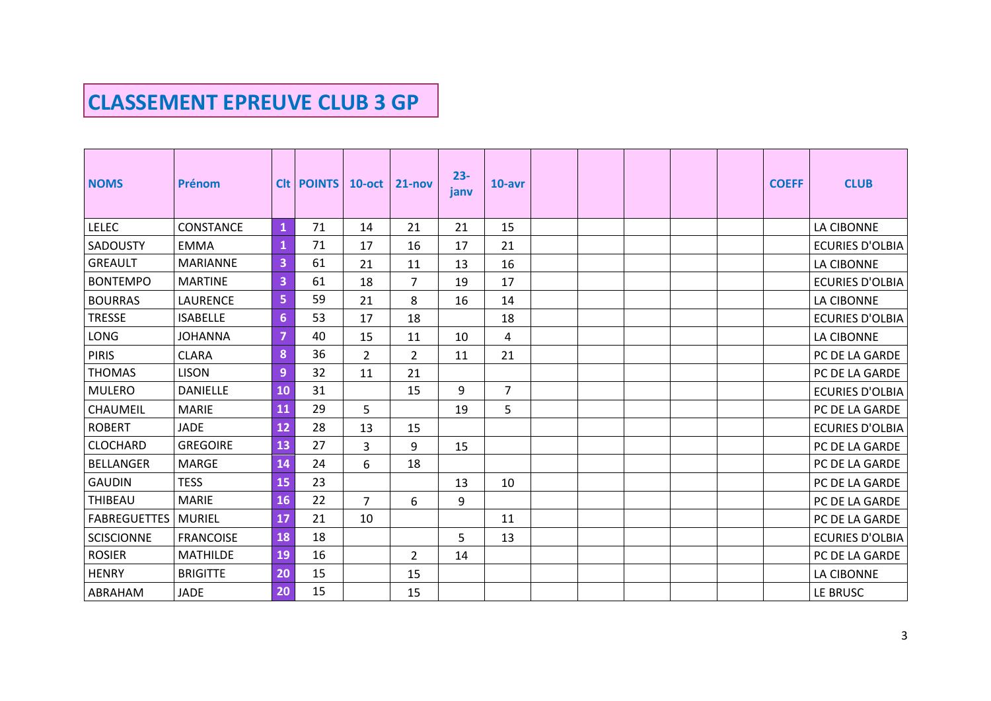## **CLASSEMENT EPREUVE CLUB 3 GP**

| <b>NOMS</b>         | Prénom           |                | <b>CIt POINTS</b> | $10$ -oct      | $21 - nov$     | $23 -$<br>janv | 10-avr         |  |  | <b>COEFF</b> | <b>CLUB</b>            |
|---------------------|------------------|----------------|-------------------|----------------|----------------|----------------|----------------|--|--|--------------|------------------------|
| <b>LELEC</b>        | CONSTANCE        | $\mathbf{1}$   | 71                | 14             | 21             | 21             | 15             |  |  |              | LA CIBONNE             |
| SADOUSTY            | <b>EMMA</b>      | $\mathbf{1}$   | 71                | 17             | 16             | 17             | 21             |  |  |              | <b>ECURIES D'OLBIA</b> |
| <b>GREAULT</b>      | <b>MARIANNE</b>  | 3              | 61                | 21             | 11             | 13             | 16             |  |  |              | LA CIBONNE             |
| <b>BONTEMPO</b>     | <b>MARTINE</b>   | 3              | 61                | 18             | $\overline{7}$ | 19             | 17             |  |  |              | <b>ECURIES D'OLBIA</b> |
| <b>BOURRAS</b>      | <b>LAURENCE</b>  | 5              | 59                | 21             | 8              | 16             | 14             |  |  |              | LA CIBONNE             |
| <b>TRESSE</b>       | <b>ISABELLE</b>  | $6\phantom{a}$ | 53                | 17             | 18             |                | 18             |  |  |              | <b>ECURIES D'OLBIA</b> |
| LONG                | <b>JOHANNA</b>   | $\overline{7}$ | 40                | 15             | 11             | 10             | 4              |  |  |              | LA CIBONNE             |
| <b>PIRIS</b>        | <b>CLARA</b>     | 8              | 36                | $\overline{2}$ | $\overline{2}$ | 11             | 21             |  |  |              | PC DE LA GARDE         |
| <b>THOMAS</b>       | <b>LISON</b>     | $\overline{9}$ | 32                | 11             | 21             |                |                |  |  |              | PC DE LA GARDE         |
| <b>MULERO</b>       | <b>DANIELLE</b>  | 10             | 31                |                | 15             | 9              | $\overline{7}$ |  |  |              | <b>ECURIES D'OLBIA</b> |
| CHAUMEIL            | <b>MARIE</b>     | 11             | 29                | 5              |                | 19             | 5              |  |  |              | PC DE LA GARDE         |
| <b>ROBERT</b>       | <b>JADE</b>      | 12             | 28                | 13             | 15             |                |                |  |  |              | <b>ECURIES D'OLBIA</b> |
| <b>CLOCHARD</b>     | <b>GREGOIRE</b>  | 13             | 27                | 3              | 9              | 15             |                |  |  |              | PC DE LA GARDE         |
| <b>BELLANGER</b>    | <b>MARGE</b>     | 14             | 24                | 6              | 18             |                |                |  |  |              | PC DE LA GARDE         |
| <b>GAUDIN</b>       | <b>TESS</b>      | 15             | 23                |                |                | 13             | 10             |  |  |              | PC DE LA GARDE         |
| THIBEAU             | <b>MARIE</b>     | 16             | 22                | $\overline{7}$ | 6              | 9              |                |  |  |              | PC DE LA GARDE         |
| <b>FABREGUETTES</b> | <b>MURIEL</b>    | 17             | 21                | 10             |                |                | 11             |  |  |              | PC DE LA GARDE         |
| <b>SCISCIONNE</b>   | <b>FRANCOISE</b> | 18             | 18                |                |                | 5              | 13             |  |  |              | <b>ECURIES D'OLBIA</b> |
| <b>ROSIER</b>       | <b>MATHILDE</b>  | 19             | 16                |                | $\overline{2}$ | 14             |                |  |  |              | PC DE LA GARDE         |
| <b>HENRY</b>        | <b>BRIGITTE</b>  | 20             | 15                |                | 15             |                |                |  |  |              | LA CIBONNE             |
| ABRAHAM             | <b>JADE</b>      | 20             | 15                |                | 15             |                |                |  |  |              | LE BRUSC               |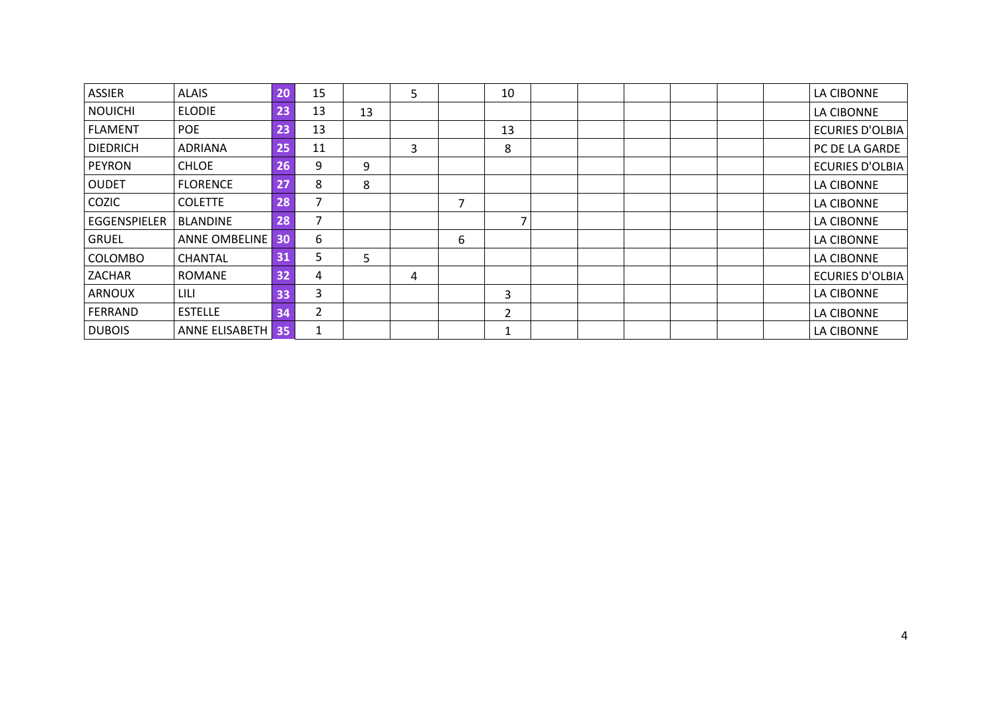| ASSIER          | <b>ALAIS</b>         | 20 | 15 |    | 5 |   | 10             |  |  |  | LA CIBONNE             |
|-----------------|----------------------|----|----|----|---|---|----------------|--|--|--|------------------------|
| <b>NOUICHI</b>  | <b>ELODIE</b>        | 23 | 13 | 13 |   |   |                |  |  |  | LA CIBONNE             |
| <b>FLAMENT</b>  | <b>POE</b>           | 23 | 13 |    |   |   | 13             |  |  |  | <b>ECURIES D'OLBIA</b> |
| <b>DIEDRICH</b> | <b>ADRIANA</b>       | 25 | 11 |    | 3 |   | 8              |  |  |  | PC DE LA GARDE         |
| <b>PEYRON</b>   | <b>CHLOE</b>         | 26 | 9  | 9  |   |   |                |  |  |  | <b>ECURIES D'OLBIA</b> |
| <b>OUDET</b>    | <b>FLORENCE</b>      | 27 | 8  | 8  |   |   |                |  |  |  | LA CIBONNE             |
| COZIC           | <b>COLETTE</b>       | 28 |    |    |   | 7 |                |  |  |  | LA CIBONNE             |
| EGGENSPIELER    | <b>BLANDINE</b>      | 28 |    |    |   |   |                |  |  |  | LA CIBONNE             |
| <b>GRUEL</b>    | <b>ANNE OMBELINE</b> | 30 | 6  |    |   | 6 |                |  |  |  | LA CIBONNE             |
| <b>COLOMBO</b>  | <b>CHANTAL</b>       | 31 | C. | 5  |   |   |                |  |  |  | LA CIBONNE             |
| ZACHAR          | <b>ROMANE</b>        | 32 | 4  |    | 4 |   |                |  |  |  | <b>ECURIES D'OLBIA</b> |
| <b>ARNOUX</b>   | LILI                 | 33 | 3  |    |   |   | 3              |  |  |  | LA CIBONNE             |
| FERRAND         | <b>ESTELLE</b>       | 34 | 2  |    |   |   | $\overline{2}$ |  |  |  | LA CIBONNE             |
| <b>DUBOIS</b>   | ANNE ELISABETH 35    |    |    |    |   |   | 1              |  |  |  | LA CIBONNE             |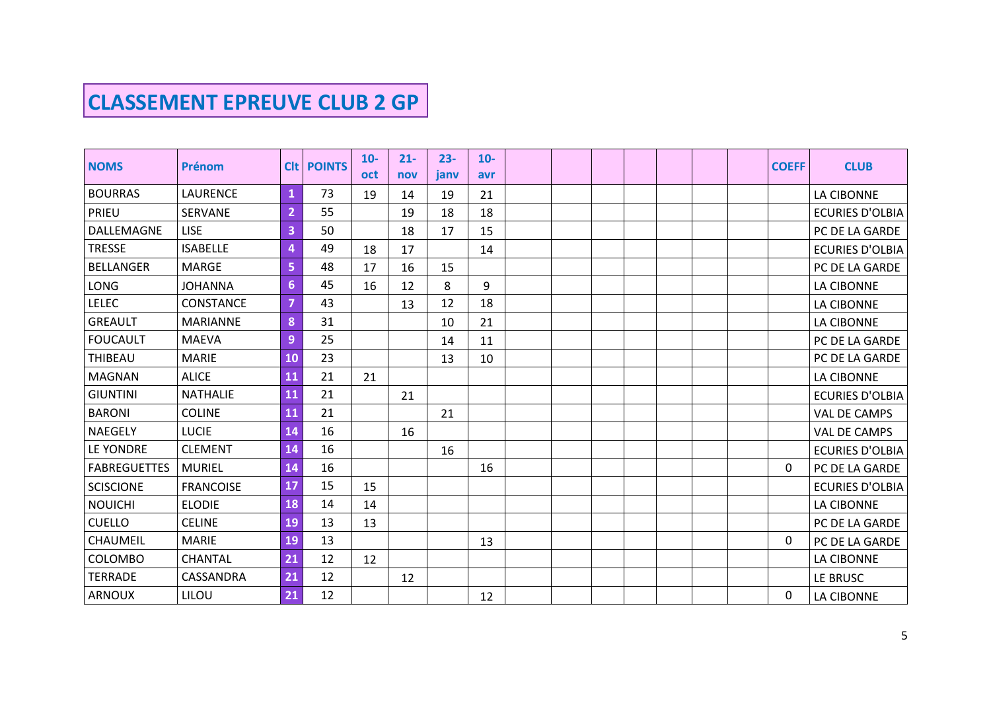## **CLASSEMENT EPREUVE CLUB 2 GP**

|                     |                  |                |                   | $10-$      | $21 -$ | $23 -$ | $10-$ |  |  |  |              |                        |
|---------------------|------------------|----------------|-------------------|------------|--------|--------|-------|--|--|--|--------------|------------------------|
| <b>NOMS</b>         | Prénom           |                | <b>CIt POINTS</b> | <b>oct</b> | nov    | janv   | avr   |  |  |  | <b>COEFF</b> | <b>CLUB</b>            |
| <b>BOURRAS</b>      | LAURENCE         | $\mathbf{1}$   | 73                | 19         | 14     | 19     | 21    |  |  |  |              | LA CIBONNE             |
| PRIEU               | <b>SERVANE</b>   | $\overline{2}$ | 55                |            | 19     | 18     | 18    |  |  |  |              | <b>ECURIES D'OLBIA</b> |
| DALLEMAGNE          | <b>LISE</b>      | 3              | 50                |            | 18     | 17     | 15    |  |  |  |              | PC DE LA GARDE         |
| <b>TRESSE</b>       | <b>ISABELLE</b>  | 4              | 49                | 18         | 17     |        | 14    |  |  |  |              | <b>ECURIES D'OLBIA</b> |
| <b>BELLANGER</b>    | <b>MARGE</b>     | 5              | 48                | 17         | 16     | 15     |       |  |  |  |              | PC DE LA GARDE         |
| <b>LONG</b>         | <b>JOHANNA</b>   | $6\phantom{1}$ | 45                | 16         | 12     | 8      | 9     |  |  |  |              | LA CIBONNE             |
| <b>LELEC</b>        | CONSTANCE        | $\overline{7}$ | 43                |            | 13     | 12     | 18    |  |  |  |              | LA CIBONNE             |
| <b>GREAULT</b>      | <b>MARIANNE</b>  | 8              | 31                |            |        | 10     | 21    |  |  |  |              | LA CIBONNE             |
| <b>FOUCAULT</b>     | <b>MAEVA</b>     | 9              | 25                |            |        | 14     | 11    |  |  |  |              | PC DE LA GARDE         |
| <b>THIBEAU</b>      | <b>MARIE</b>     | 10             | 23                |            |        | 13     | 10    |  |  |  |              | PC DE LA GARDE         |
| <b>MAGNAN</b>       | <b>ALICE</b>     | 11             | 21                | 21         |        |        |       |  |  |  |              | LA CIBONNE             |
| <b>GIUNTINI</b>     | <b>NATHALIE</b>  | 11             | 21                |            | 21     |        |       |  |  |  |              | <b>ECURIES D'OLBIA</b> |
| <b>BARONI</b>       | <b>COLINE</b>    | 11             | 21                |            |        | 21     |       |  |  |  |              | VAL DE CAMPS           |
| <b>NAEGELY</b>      | <b>LUCIE</b>     | 14             | 16                |            | 16     |        |       |  |  |  |              | VAL DE CAMPS           |
| LE YONDRE           | <b>CLEMENT</b>   | 14             | 16                |            |        | 16     |       |  |  |  |              | <b>ECURIES D'OLBIA</b> |
| <b>FABREGUETTES</b> | <b>MURIEL</b>    | 14             | 16                |            |        |        | 16    |  |  |  | 0            | PC DE LA GARDE         |
| <b>SCISCIONE</b>    | <b>FRANCOISE</b> | 17             | 15                | 15         |        |        |       |  |  |  |              | <b>ECURIES D'OLBIA</b> |
| <b>NOUICHI</b>      | <b>ELODIE</b>    | 18             | 14                | 14         |        |        |       |  |  |  |              | LA CIBONNE             |
| <b>CUELLO</b>       | <b>CELINE</b>    | 19             | 13                | 13         |        |        |       |  |  |  |              | PC DE LA GARDE         |
| <b>CHAUMEIL</b>     | <b>MARIE</b>     | 19             | 13                |            |        |        | 13    |  |  |  | $\mathbf{0}$ | PC DE LA GARDE         |
| COLOMBO             | <b>CHANTAL</b>   | 21             | 12                | 12         |        |        |       |  |  |  |              | LA CIBONNE             |
| <b>TERRADE</b>      | CASSANDRA        | 21             | 12                |            | 12     |        |       |  |  |  |              | LE BRUSC               |
| <b>ARNOUX</b>       | LILOU            | 21             | 12                |            |        |        | 12    |  |  |  | 0            | LA CIBONNE             |